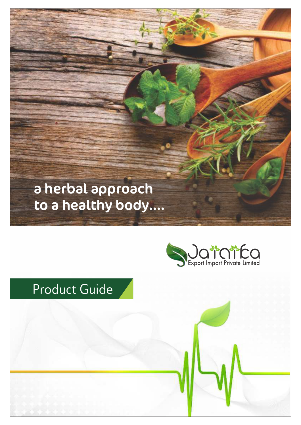# a herbal approach to a healthy body....



# Product Guide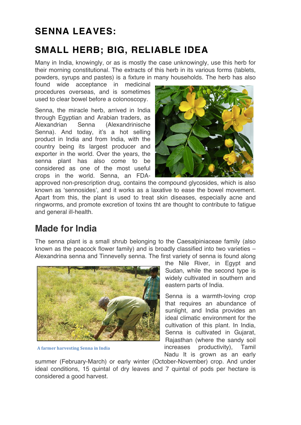# SENNA I FAVES:

# SMALL HERB; BIG, RELIABLE IDEA

Many in India, knowingly, or as is mostly the case unknowingly, use this herb for their morning constitutional. The extracts of this herb in its various forms (tablets, powders, syrups and pastes) is a fixture in many households. The herb has also

found wide acceptance in medicinal procedures overseas, and is sometimes used to clear bowel before a colonoscopy.

Senna, the miracle herb, arrived in India through Egyptian and Arabian traders, as Alexandrian Senna (Alexandrinische Senna). And today, it's a hot selling product in India and from India, with the country being its largest producer and exporter in the world. Over the years, the senna plant has also come to be considered as one of the most useful crops in the world. Senna, an FDA-



approved non-prescription drug, contains the compound glycosides, which is also known as 'sennosides', and it works as a laxative to ease the bowel movement. Apart from this, the plant is used to treat skin diseases, especially acne and ringworms, and promote excretion of toxins tht are thought to contribute to fatigue and general ill-health.

# Made for India

The senna plant is a small shrub belonging to the Caesalpiniaceae family (also known as the peacock flower family) and is broadly classified into two varieties – Alexandrina senna and Tinnevelly senna. The first variety of senna is found along



A farmer harvesting Senna in India

the Nile River, in Egypt and Sudan, while the second type is widely cultivated in southern and eastern parts of India.

Senna is a warmth-loving crop that requires an abundance of sunlight, and India provides an ideal climatic environment for the cultivation of this plant. In India, Senna is cultivated in Gujarat, Rajasthan (where the sandy soil increases productivity), Tamil Nadu It is grown as an early

summer (February-March) or early winter (October-November) crop. And under ideal conditions, 15 quintal of dry leaves and 7 quintal of pods per hectare is considered a good harvest.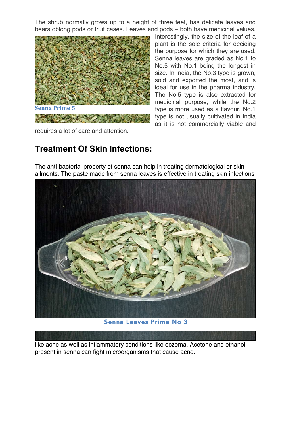The shrub normally grows up to a height of three feet, has delicate leaves and bears oblong pods or fruit cases. Leaves and pods – both have medicinal values.



Interestingly, the size of the leaf of a plant is the sole criteria for deciding the purpose for which they are used. Senna leaves are graded as No.1 to No.5 with No.1 being the longest in size. In India, the No.3 type is grown, sold and exported the most, and is ideal for use in the pharma industry. The No.5 type is also extracted for medicinal purpose, while the No.2 type is more used as a flavour. No.1 type is not usually cultivated in India as it is not commercially viable and

requires a lot of care and attention.

# Treatment Of Skin Infections:

The anti-bacterial property of senna can help in treating dermatological or skin ailments. The paste made from senna leaves is effective in treating skin infections



Senna Leaves Prime No 3

like acne as well as inflammatory conditions like eczema. Acetone and ethanol present in senna can fight microorganisms that cause acne.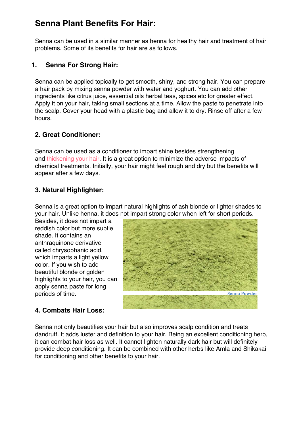### Senna Plant Benefits For Hair:

Senna can be used in a similar manner as henna for healthy hair and treatment of hair problems. Some of its benefits for hair are as follows.

### 1. Senna For Strong Hair:

Senna can be applied topically to get smooth, shiny, and strong hair. You can prepare a hair pack by mixing senna powder with water and yoghurt. You can add other ingredients like citrus juice, essential oils herbal teas, spices etc for greater effect. Apply it on your hair, taking small sections at a time. Allow the paste to penetrate into the scalp. Cover your head with a plastic bag and allow it to dry. Rinse off after a few hours.

### 2. Great Conditioner:

Senna can be used as a conditioner to impart shine besides strengthening and thickening your hair. It is a great option to minimize the adverse impacts of chemical treatments. Initially, your hair might feel rough and dry but the benefits will appear after a few days.

### 3. Natural Highlighter:

Senna is a great option to impart natural highlights of ash blonde or lighter shades to your hair. Unlike henna, it does not impart strong color when left for short periods.

Besides, it does not impart a reddish color but more subtle shade. It contains an anthraquinone derivative called chrysophanic acid, which imparts a light yellow color. If you wish to add beautiful blonde or golden highlights to your hair, you can apply senna paste for long periods of time.



### 4. Combats Hair Loss:

Senna not only beautifies your hair but also improves scalp condition and treats dandruff. It adds luster and definition to your hair. Being an excellent conditioning herb, it can combat hair loss as well. It cannot lighten naturally dark hair but will definitely provide deep conditioning. It can be combined with other herbs like Amla and Shikakai for conditioning and other benefits to your hair.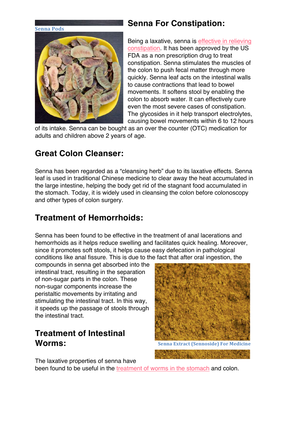#### **Senna Pods**



### Senna For Constipation:

Being a laxative, senna is effective in relieving constipation. It has been approved by the US FDA as a non prescription drug to treat constipation. Senna stimulates the muscles of the colon to push fecal matter through more quickly. Senna leaf acts on the intestinal walls to cause contractions that lead to bowel movements. It softens stool by enabling the colon to absorb water. It can effectively cure even the most severe cases of constipation. The glycosides in it help transport electrolytes, causing bowel movements within 6 to 12 hours

of its intake. Senna can be bought as an over the counter (OTC) medication for adults and children above 2 years of age.

### Great Colon Cleanser:

Senna has been regarded as a "cleansing herb" due to its laxative effects. Senna leaf is used in traditional Chinese medicine to clear away the heat accumulated in the large intestine, helping the body get rid of the stagnant food accumulated in the stomach. Today, it is widely used in cleansing the colon before colonoscopy and other types of colon surgery.

### Treatment of Hemorrhoids:

Senna has been found to be effective in the treatment of anal lacerations and hemorrhoids as it helps reduce swelling and facilitates quick healing. Moreover, since it promotes soft stools, it helps cause easy defecation in pathological conditions like anal fissure. This is due to the fact that after oral ingestion, the

compounds in senna get absorbed into the intestinal tract, resulting in the separation of non-sugar parts in the colon. These non-sugar components increase the peristaltic movements by irritating and stimulating the intestinal tract. In this way, it speeds up the passage of stools through the intestinal tract.

### Treatment of Intestinal Worms:

The laxative properties of senna have

**Senna Extract (Sennoside) For Medicine** 

been found to be useful in the treatment of worms in the stomach and colon.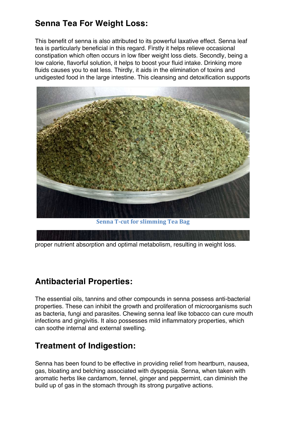### Senna Tea For Weight Loss:

This benefit of senna is also attributed to its powerful laxative effect. Senna leaf tea is particularly beneficial in this regard. Firstly it helps relieve occasional constipation which often occurs in low fiber weight loss diets. Secondly, being a low calorie, flavorful solution, it helps to boost your fluid intake. Drinking more fluids causes you to eat less. Thirdly, it aids in the elimination of toxins and undigested food in the large intestine. This cleansing and detoxification supports



Senna T-cut for slimming Tea Bag

proper nutrient absorption and optimal metabolism, resulting in weight loss.

# Antibacterial Properties:

The essential oils, tannins and other compounds in senna possess anti-bacterial properties. These can inhibit the growth and proliferation of microorganisms such as bacteria, fungi and parasites. Chewing senna leaf like tobacco can cure mouth infections and gingivitis. It also possesses mild inflammatory properties, which can soothe internal and external swelling.

### Treatment of Indigestion:

Senna has been found to be effective in providing relief from heartburn, nausea, gas, bloating and belching associated with dyspepsia. Senna, when taken with aromatic herbs like cardamom, fennel, ginger and peppermint, can diminish the build up of gas in the stomach through its strong purgative actions.